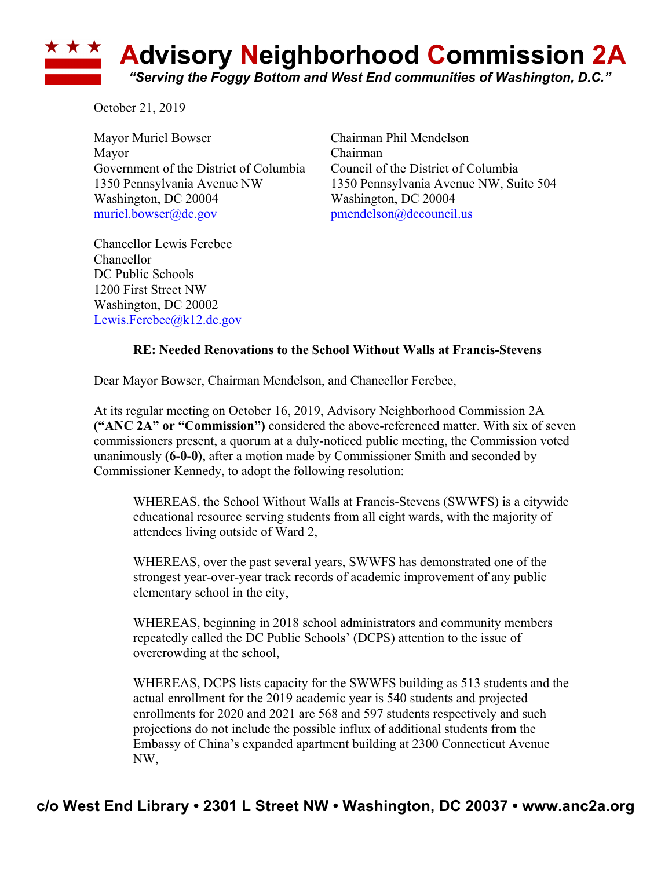

October 21, 2019

Mayor Muriel Bowser Chairman Phil Mendelson Mayor Chairman Government of the District of Columbia Council of the District of Columbia Washington, DC 20004 Washington, DC 20004 muriel.bowser@dc.gov pmendelson@dccouncil.us

1350 Pennsylvania Avenue NW 1350 Pennsylvania Avenue NW, Suite 504

Chancellor Lewis Ferebee Chancellor DC Public Schools 1200 First Street NW Washington, DC 20002 Lewis.Ferebee@k12.dc.gov

## **RE: Needed Renovations to the School Without Walls at Francis-Stevens**

Dear Mayor Bowser, Chairman Mendelson, and Chancellor Ferebee,

At its regular meeting on October 16, 2019, Advisory Neighborhood Commission 2A **("ANC 2A" or "Commission")** considered the above-referenced matter. With six of seven commissioners present, a quorum at a duly-noticed public meeting, the Commission voted unanimously **(6-0-0)**, after a motion made by Commissioner Smith and seconded by Commissioner Kennedy, to adopt the following resolution:

WHEREAS, the School Without Walls at Francis-Stevens (SWWFS) is a citywide educational resource serving students from all eight wards, with the majority of attendees living outside of Ward 2,

WHEREAS, over the past several years, SWWFS has demonstrated one of the strongest year-over-year track records of academic improvement of any public elementary school in the city,

WHEREAS, beginning in 2018 school administrators and community members repeatedly called the DC Public Schools' (DCPS) attention to the issue of overcrowding at the school,

WHEREAS, DCPS lists capacity for the SWWFS building as 513 students and the actual enrollment for the 2019 academic year is 540 students and projected enrollments for 2020 and 2021 are 568 and 597 students respectively and such projections do not include the possible influx of additional students from the Embassy of China's expanded apartment building at 2300 Connecticut Avenue NW,